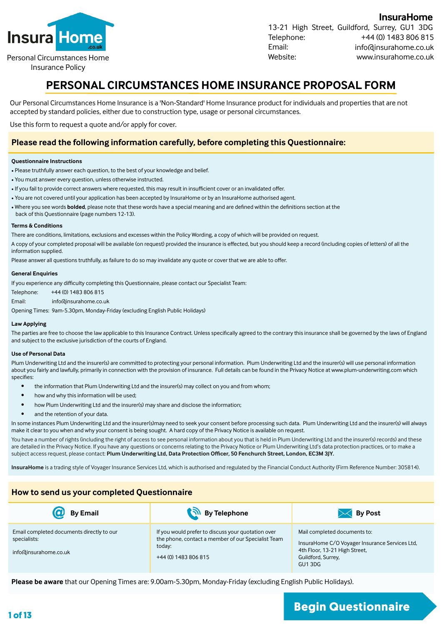

Personal Circumstances Home

Insurance Policy

**InsuraHome**  13-21 High Street, Guildford, Surrey, GU1 3DG Telephone: Email: Website: +44 (0) 1483 806 815 info@insurahome.co.uk www.insurahome.co.uk

## **PERSONAL CIRCUMSTANCES HOME INSURANCE PROPOSAL FORM**

Our Personal Circumstances Home Insurance is a 'Non-Standard' Home Insurance product for individuals and properties that are not accepted by standard policies, either due to construction type, usage or personal circumstances.

Use this form to request a quote and/or apply for cover.

#### **Please read the following information carefully, before completing this Questionnaire:**

#### **Questionnaire Instructions**

- Please truthfully answer each question, to the best of your knowledge and belief.
- You must answer every question, unless otherwise instructed.
- If you fail to provide correct answers where requested, this may result in insufficient cover or an invalidated offer.
- You are not covered until your application has been accepted by InsuraHome or by an InsuraHome authorised agent.
- Where you see words **bolded**, please note that these words have a special meaning and are defined within the definitions section at the
- back of this Questionnaire (page numbers 12-13).

#### **Terms & Conditions**

There are conditions, limitations, exclusions and excesses within the Policy Wording, a copy of which will be provided on request.

A copy of your completed proposal will be available (on request) provided the insurance is effected, but you should keep a record (including copies of letters) of all the information supplied.

Please answer all questions truthfully, as failure to do so may invalidate any quote or cover that we are able to offer.

#### **General Enquiries**

If you experience any difficulty completing this Questionnaire, please contact our Specialist Team:

| Telephone: | +44 (0) 1483 806 815  |
|------------|-----------------------|
| Email:     | info@insurahome.co.uk |

Opening Times: 9am-5.30pm, Monday-Friday (excluding English Public Holidays)

#### **Law Applying**

The parties are free to choose the law applicable to this Insurance Contract. Unless specifically agreed to the contrary this insurance shall be governed by the laws of England and subject to the exclusive jurisdiction of the courts of England.

#### **Use of Personal Data**

Plum Underwriting Ltd and the insurer(s) are committed to protecting your personal information. Plum Underwriting Ltd and the insurer(s) will use personal information about you fairly and lawfully, primarily in connection with the provision of insurance. Full details can be found in the Privacy Notice at www.plum-underwriting.com which specifies:

- the information that Plum Underwriting Ltd and the insurer(s) may collect on you and from whom;
- how and why this information will be used;
- how Plum Underwriting Ltd and the insurer(s) may share and disclose the information;
- and the retention of your data.

In some instances Plum Underwriting Ltd and the insurer(s)may need to seek your consent before processing such data. Plum Underwriting Ltd and the insurer(s) will always make it clear to you when and why your consent is being sought. A hard copy of the Privacy Notice is available on request.

You have a number of rights (including the right of access to see personal information about you that is held in Plum Underwriting Ltd and the insurer(s) records) and these are detailed in the Privacy Notice. If you have any questions or concerns relating to the Privacy Notice or Plum Underwriting Ltd's data protection practices, or to make a subject access request, please contact: **Plum Underwriting Ltd, Data Protection Officer, 50 Fenchurch Street, London, EC3M 3JY.**

**InsuraHome** is a trading style of Voyager Insurance Services Ltd, which is authorised and regulated by the Financial Conduct Authority (Firm Reference Number: 305814).

#### **How to send us your completed Questionnaire**

| <b>By Email</b>                                                                    | By Telephone                                                                                                                               | By Post                                                                                                                                         |
|------------------------------------------------------------------------------------|--------------------------------------------------------------------------------------------------------------------------------------------|-------------------------------------------------------------------------------------------------------------------------------------------------|
| Email completed documents directly to our<br>specialists:<br>info@insurahome.co.uk | If you would prefer to discuss your quotation over<br>the phone, contact a member of our Specialist Team<br>today:<br>+44 (0) 1483 806 815 | Mail completed documents to:<br>InsuraHome C/O Voyager Insurance Services Ltd,<br>4th Floor, 13-21 High Street,<br>Guildford, Surrey,<br>GU13DG |

**Please be aware** that our Opening Times are: 9.00am-5.30pm, Monday-Friday (excluding English Public Holidays).

# **1 of 13 Begin Questionnaire**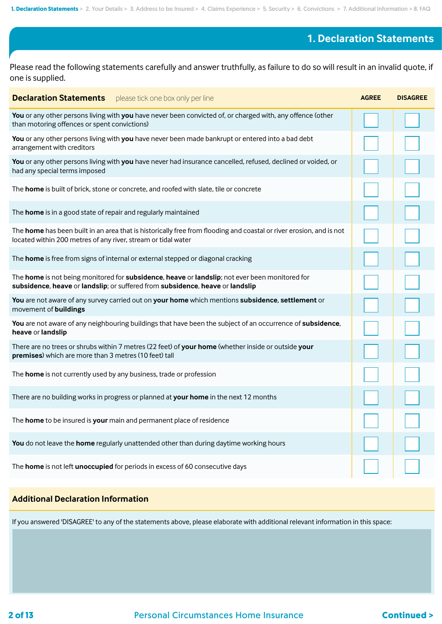## **1. Declaration Statements**

Please read the following statements carefully and answer truthfully, as failure to do so will result in an invalid quote, if one is supplied.

| <b>Declaration Statements</b> please tick one box only per line                                                                                                                      | <b>AGREE</b> | <b>DISAGREE</b> |
|--------------------------------------------------------------------------------------------------------------------------------------------------------------------------------------|--------------|-----------------|
| You or any other persons living with you have never been convicted of, or charged with, any offence (other<br>than motoring offences or spent convictions)                           |              |                 |
| You or any other persons living with you have never been made bankrupt or entered into a bad debt<br>arrangement with creditors                                                      |              |                 |
| You or any other persons living with you have never had insurance cancelled, refused, declined or voided, or<br>had any special terms imposed                                        |              |                 |
| The home is built of brick, stone or concrete, and roofed with slate, tile or concrete                                                                                               |              |                 |
| The home is in a good state of repair and regularly maintained                                                                                                                       |              |                 |
| The home has been built in an area that is historically free from flooding and coastal or river erosion, and is not<br>located within 200 metres of any river, stream or tidal water |              |                 |
| The home is free from signs of internal or external stepped or diagonal cracking                                                                                                     |              |                 |
| The home is not being monitored for subsidence, heave or landslip; not ever been monitored for<br>subsidence, heave or landslip; or suffered from subsidence, heave or landslip      |              |                 |
| You are not aware of any survey carried out on your home which mentions subsidence, settlement or<br>movement of buildings                                                           |              |                 |
| You are not aware of any neighbouring buildings that have been the subject of an occurrence of subsidence,<br>heave or landslip                                                      |              |                 |
| There are no trees or shrubs within 7 metres (22 feet) of your home (whether inside or outside your<br>premises) which are more than 3 metres (10 feet) tall                         |              |                 |
| The home is not currently used by any business, trade or profession                                                                                                                  |              |                 |
| There are no building works in progress or planned at your home in the next 12 months                                                                                                |              |                 |
| The home to be insured is your main and permanent place of residence                                                                                                                 |              |                 |
| You do not leave the home regularly unattended other than during daytime working hours                                                                                               |              |                 |
| The home is not left unoccupied for periods in excess of 60 consecutive days                                                                                                         |              |                 |

#### **Additional Declaration Information**

If you answered 'DISAGREE' to any of the statements above, please elaborate with additional relevant information in this space: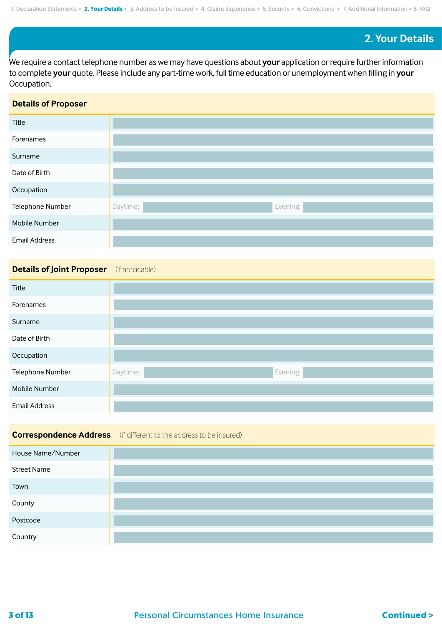### **2. Your Details**

We require a contact telephone number as we may have questions about **your** application or require further information to complete **your** quote. Please include any part-time work, full time education or unemployment when filling in **your** Occupation.

#### **Details of Proposer**

| Title                |                      |
|----------------------|----------------------|
| Forenames            |                      |
| Surname              |                      |
| Date of Birth        |                      |
| Occupation           |                      |
| Telephone Number     | Evening:<br>Daytime: |
| Mobile Number        |                      |
| <b>Email Address</b> |                      |

#### **Details of Joint Proposer** (if applicable)

| Title                |                      |
|----------------------|----------------------|
| Forenames            |                      |
| Surname              |                      |
| Date of Birth        |                      |
| Occupation           |                      |
| Telephone Number     | Evening:<br>Daytime: |
| Mobile Number        |                      |
| <b>Email Address</b> |                      |

# **Correspondence Address** (if different to the address to be insured) House Name/Number Street Name Town County Postcode Country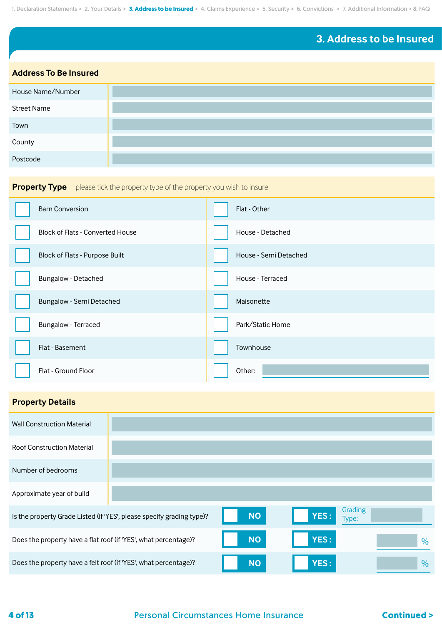## **3. Address to be Insured**

#### **Address To Be Insured**

| House Name/Number  |  |
|--------------------|--|
| <b>Street Name</b> |  |
| Town               |  |
| County             |  |
| Postcode           |  |

## **Property Type** please tick the property type of the property you wish to insure

| <b>Barn Conversion</b>                  | Flat - Other          |
|-----------------------------------------|-----------------------|
| <b>Block of Flats - Converted House</b> | House - Detached      |
| Block of Flats - Purpose Built          | House - Semi Detached |
| Bungalow - Detached                     | House - Terraced      |
| Bungalow - Semi Detached                | Maisonette            |
| Bungalow - Terraced                     | Park/Static Home      |
| Flat - Basement                         | Townhouse             |
| Flat - Ground Floor                     | Other:                |

### **Property Details**

| <b>Wall Construction Material</b>                               |                                                                       |           |             |                  |      |
|-----------------------------------------------------------------|-----------------------------------------------------------------------|-----------|-------------|------------------|------|
| <b>Roof Construction Material</b>                               |                                                                       |           |             |                  |      |
| Number of bedrooms                                              |                                                                       |           |             |                  |      |
| Approximate year of build                                       |                                                                       |           |             |                  |      |
|                                                                 | Is the property Grade Listed (if 'YES', please specify grading type)? | <b>NO</b> | YES:        | Grading<br>Type: |      |
| Does the property have a flat roof (if 'YES', what percentage)? |                                                                       | <b>NO</b> | <b>YES:</b> |                  | $\%$ |
| Does the property have a felt roof (if 'YES', what percentage)? |                                                                       | <b>NO</b> | <b>YES:</b> |                  | $\%$ |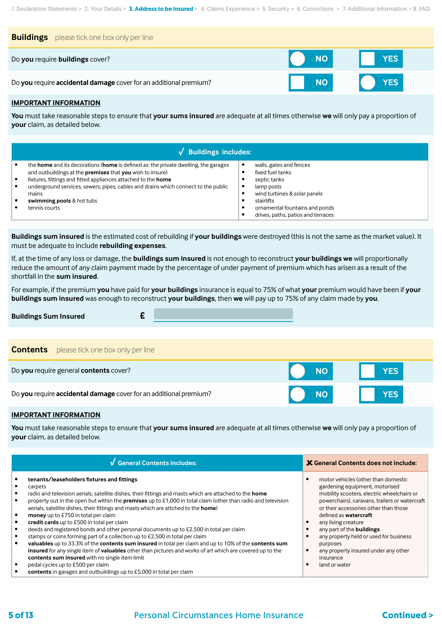| <b>Buildings</b> please tick one box only per line                |           |                       |
|-------------------------------------------------------------------|-----------|-----------------------|
| Do you require buildings cover?                                   | NO I      | <b>Example 19 YES</b> |
| Do you require accidental damage cover for an additional premium? | <b>NO</b> | <b>YES</b>            |

#### **IMPORTANT INFORMATION**

**You** must take reasonable steps to ensure that **your sums insured** are adequate at all times otherwise **we** will only pay a proportion of **your** claim, as detailed below.

| $\sqrt{\phantom{a}}$ Buildings includes:                                                                                                                                                                                                                                                                                                                                      |  |                                                                                                                                                                                                 |  |
|-------------------------------------------------------------------------------------------------------------------------------------------------------------------------------------------------------------------------------------------------------------------------------------------------------------------------------------------------------------------------------|--|-------------------------------------------------------------------------------------------------------------------------------------------------------------------------------------------------|--|
| the <b>home</b> and its decorations ( <b>home</b> is defined as: the private dwelling, the garages<br>and outbuildings at the premises that you wish to insure)<br>fixtures, fittings and fitted appliances attached to the home<br>underground services, sewers, pipes, cables and drains which connect to the public<br>mains<br>swimming pools & hot tubs<br>tennis courts |  | walls, gates and fences<br>fixed fuel tanks<br>septic tanks<br>lamp posts<br>wind turbines & solar panels<br>stairlifts<br>ornamental fountains and ponds<br>drives, paths, patios and terraces |  |

**Buildings sum insured** is the estimated cost of rebuilding if **your buildings** were destroyed (this is not the same as the market value). It must be adequate to include **rebuilding expenses**.

If, at the time of any loss or damage, the **buildings sum insured** is not enough to reconstruct **your buildings we** will proportionally reduce the amount of any claim payment made by the percentage of under payment of premium which has arisen as a result of the shortfall in the **sum insured**.

For example, if the premium **you** have paid for **your buildings** insurance is equal to 75% of what **your** premium would have been if **your buildings sum insured** was enough to reconstruct **your buildings**, then **we** will pay up to 75% of any claim made by **you**.

| <b>Buildings Sum Insured</b>                                      |           |            |
|-------------------------------------------------------------------|-----------|------------|
|                                                                   |           |            |
| please tick one box only per line<br><b>Contents</b>              |           |            |
| Do you require general contents cover?                            | <b>NO</b> | <b>YES</b> |
| Do you require accidental damage cover for an additional premium? | <b>NO</b> | <b>YES</b> |

#### **IMPORTANT INFORMATION**

**You** must take reasonable steps to ensure that **your sums insured** are adequate at all times otherwise **we** will only pay a proportion of **your** claim, as detailed below.

| √ General Contents includes:                                                                                                                                                                                                                                                                                                                                                                                                                                                                                                                                                                                                                                                                                                                                                                                                                                                                                                                                                                                                                        | <b>X</b> General Contents does not include:                                                                                                                                                                                                                                                                                                                                                                                           |
|-----------------------------------------------------------------------------------------------------------------------------------------------------------------------------------------------------------------------------------------------------------------------------------------------------------------------------------------------------------------------------------------------------------------------------------------------------------------------------------------------------------------------------------------------------------------------------------------------------------------------------------------------------------------------------------------------------------------------------------------------------------------------------------------------------------------------------------------------------------------------------------------------------------------------------------------------------------------------------------------------------------------------------------------------------|---------------------------------------------------------------------------------------------------------------------------------------------------------------------------------------------------------------------------------------------------------------------------------------------------------------------------------------------------------------------------------------------------------------------------------------|
| tenants/leaseholders fixtures and fittings<br>carpets<br>radio and television aerials, satellite dishes, their fittings and masts which are attached to the home<br>property out in the open but within the <b>premises</b> up to £1,000 in total claim (other than radio and television<br>aerials, satellite dishes, their fittings and masts which are attched to the <b>home</b> )<br><b>money</b> up to £750 in total per claim<br>credit cards up to £500 in total per claim<br>deeds and registered bonds and other personal documents up to £2,500 in total per claim<br>stamps or coins forming part of a collection up to £2,500 in total per claim<br>valuables up to 33.3% of the contents sum insured in total per claim and up to 10% of the contents sum<br>insured for any single item of valuables other than pictures and works of art which are covered up to the<br>contents sum insured with no single item limit<br>pedal cycles up to £500 per claim<br>contents in garages and outbuildings up to £5,000 in total per claim | motor vehicles (other than domestic<br>gardening equipment, motorised<br>mobility scooters, electric wheelchairs or<br>powerchairs), caravans, trailers or watercraft<br>or their accessories other than those<br>defined as <b>watercraft</b><br>any living creature<br>any part of the <b>buildings</b><br>any property held or used for business<br>purposes<br>any property insured under any other<br>insurance<br>land or water |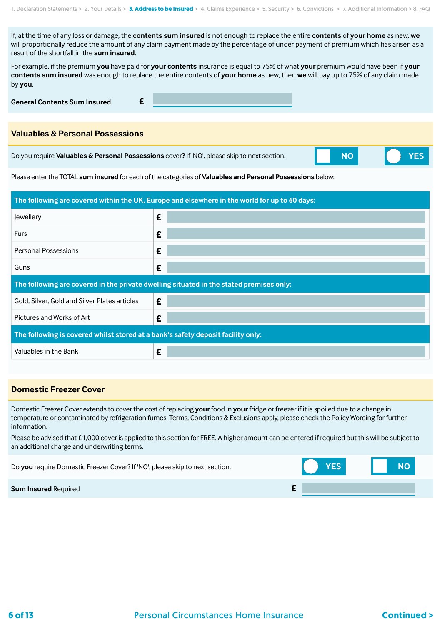If, at the time of any loss or damage, the **contents sum insured** is not enough to replace the entire **contents** of **your home** as new, **we** will proportionally reduce the amount of any claim payment made by the percentage of under payment of premium which has arisen as a result of the shortfall in the **sum insured**.

For example, if the premium **you** have paid for **your contents** insurance is equal to 75% of what **your** premium would have been if **your contents sum insured** was enough to replace the entire contents of **your home** as new, then **we** will pay up to 75% of any claim made by **you**.

**General Contents Sum Insured £**

#### **Valuables & Personal Possessions**

Do you require **Valuables & Personal Possessions** cover**?** If 'NO', please skip to next section.



Please enter the TOTAL **sum insured** for each of the categories of **Valuables and Personal Possessions** below:

| The following are covered within the UK, Europe and elsewhere in the world for up to 60 days: |   |  |  |  |
|-----------------------------------------------------------------------------------------------|---|--|--|--|
| Jewellery                                                                                     | £ |  |  |  |
| <b>Furs</b>                                                                                   | £ |  |  |  |
| <b>Personal Possessions</b>                                                                   | £ |  |  |  |
| Guns                                                                                          | £ |  |  |  |
| The following are covered in the private dwelling situated in the stated premises only:       |   |  |  |  |
|                                                                                               |   |  |  |  |
| Gold, Silver, Gold and Silver Plates articles                                                 | £ |  |  |  |
| Pictures and Works of Art                                                                     | £ |  |  |  |
| The following is covered whilst stored at a bank's safety deposit facility only:              |   |  |  |  |

#### **Domestic Freezer Cover**

Domestic Freezer Cover extends to cover the cost of replacing **your** food in **your** fridge or freezer if it is spoiled due to a change in temperature or contaminated by refrigeration fumes. Terms, Conditions & Exclusions apply, please check the Policy Wording for further information.

Please be advised that £1,000 cover is applied to this section for FREE. A higher amount can be entered if required but this will be subject to an additional charge and underwriting terms.

| Do you require Domestic Freezer Cover? If 'NO', please skip to next section. | <b>YES</b> |  |  |
|------------------------------------------------------------------------------|------------|--|--|
| <b>Sum Insured Required</b>                                                  |            |  |  |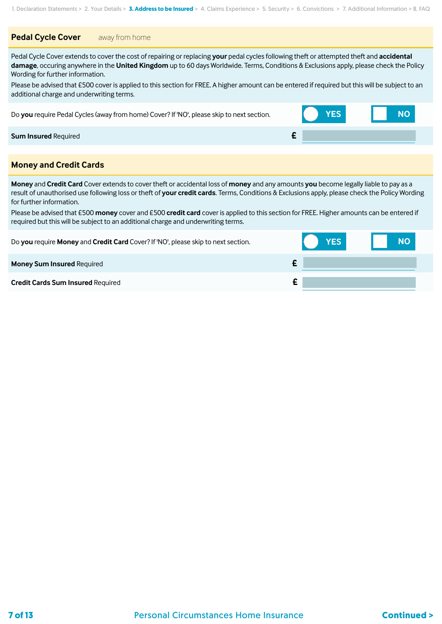#### **Pedal Cycle Cover** away from home

Pedal Cycle Cover extends to cover the cost of repairing or replacing **your** pedal cycles following theft or attempted theft and **accidental damage**, occuring anywhere in the **United Kingdom** up to 60 days Worldwide. Terms, Conditions & Exclusions apply, please check the Policy Wording for further information.

Please be advised that £500 cover is applied to this section for FREE. A higher amount can be entered if required but this will be subject to an additional charge and underwriting terms.

Do **you** require Pedal Cycles (away from home) Cover? If 'NO', please skip to next section. **YES NO**

#### **Sum Insured** Required **£**

#### **Money and Credit Cards**

**Money** and **Credit Card** Cover extends to cover theft or accidental loss of **money** and any amounts **you** become legally liable to pay as a result of unauthorised use following loss or theft of **your credit cards**. Terms, Conditions & Exclusions apply, please check the Policy Wording for further information.

Please be advised that £500 **money** cover and £500 **credit card** cover is applied to this section for FREE. Higher amounts can be entered if required but this will be subject to an additional charge and underwriting terms.

| Do you require Money and Credit Card Cover? If 'NO', please skip to next section. | <b>YES</b> | NO. |
|-----------------------------------------------------------------------------------|------------|-----|
| <b>Money Sum Insured Required</b>                                                 |            |     |
| <b>Credit Cards Sum Insured Required</b>                                          |            |     |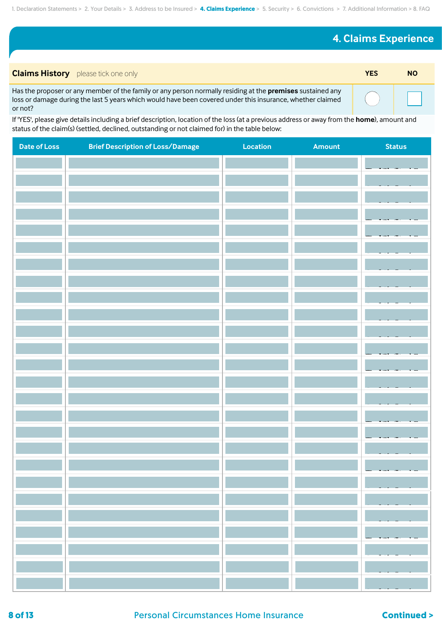## **4. Claims Experience**

| <b>Claims History</b> please tick one only                                                                                                                                                                                          | YES | <b>NO</b> |
|-------------------------------------------------------------------------------------------------------------------------------------------------------------------------------------------------------------------------------------|-----|-----------|
| Has the proposer or any member of the family or any person normally residing at the premises sustained any<br>loss or damage during the last 5 years which would have been covered under this insurance, whether claimed<br>or not? |     |           |

If 'YES', please give details including a brief description, location of the loss (at a previous address or away from the **home**), amount and status of the claim(s) (settled, declined, outstanding or not claimed for) in the table below:

| <b>Date of Loss</b> | <b>Brief Description of Loss/Damage</b> | Location | Amount | <b>Status</b> |
|---------------------|-----------------------------------------|----------|--------|---------------|
|                     |                                         |          |        |               |
|                     |                                         |          |        |               |
|                     |                                         |          |        |               |
|                     |                                         |          |        |               |
|                     |                                         |          |        |               |
|                     |                                         |          |        |               |
|                     |                                         |          |        |               |
|                     |                                         |          |        |               |
|                     |                                         |          |        |               |
|                     |                                         |          |        |               |
|                     |                                         |          |        |               |
|                     |                                         |          |        |               |
|                     |                                         |          |        |               |
|                     |                                         |          |        |               |
|                     |                                         |          |        |               |
|                     |                                         |          |        |               |
|                     |                                         |          |        |               |
|                     |                                         |          |        |               |
|                     |                                         |          |        |               |
|                     |                                         |          |        |               |
|                     |                                         |          |        |               |
|                     |                                         |          |        |               |
|                     |                                         |          |        |               |
|                     |                                         |          |        |               |
|                     |                                         |          |        |               |
|                     |                                         |          |        |               |
|                     |                                         |          |        |               |
|                     |                                         |          |        |               |

**8 of 13** Personal Circumstances Home Insurance **Continued >**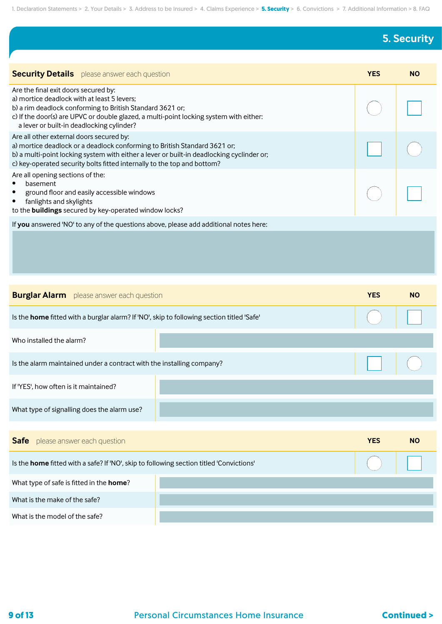## **5. Security**

| <b>Security Details</b> please answer each question                                                                                                                                                                                                                                           | <b>YES</b> | <b>NO</b> |
|-----------------------------------------------------------------------------------------------------------------------------------------------------------------------------------------------------------------------------------------------------------------------------------------------|------------|-----------|
| Are the final exit doors secured by:<br>a) mortice deadlock with at least 5 levers;<br>b) a rim deadlock conforming to British Standard 3621 or;<br>c) If the door(s) are UPVC or double glazed, a multi-point locking system with either:<br>a lever or built-in deadlocking cylinder?       |            |           |
| Are all other external doors secured by:<br>a) mortice deadlock or a deadlock conforming to British Standard 3621 or;<br>b) a multi-point locking system with either a lever or built-in deadlocking cyclinder or;<br>c) key-operated security bolts fitted internally to the top and bottom? |            |           |
| Are all opening sections of the:<br>basement<br>ground floor and easily accessible windows<br>$\bullet$<br>fanlights and skylights<br>٠<br>to the buildings secured by key-operated window locks?                                                                                             |            |           |
| If you answered 'NO' to any of the questions above, please add additional notes here:                                                                                                                                                                                                         |            |           |
|                                                                                                                                                                                                                                                                                               |            |           |

| <b>Burglar Alarm</b> please answer each question                                          | <b>YES</b> | <b>NO</b>  |           |  |  |
|-------------------------------------------------------------------------------------------|------------|------------|-----------|--|--|
| Is the home fitted with a burglar alarm? If 'NO', skip to following section titled 'Safe' |            |            |           |  |  |
| Who installed the alarm?                                                                  |            |            |           |  |  |
| Is the alarm maintained under a contract with the installing company?                     |            |            |           |  |  |
| If 'YES', how often is it maintained?                                                     |            |            |           |  |  |
| What type of signalling does the alarm use?                                               |            |            |           |  |  |
|                                                                                           |            |            |           |  |  |
| <b>Safe</b> please answer each question                                                   |            | <b>YES</b> | <b>NO</b> |  |  |
| Is the home fitted with a safe? If 'NO', skip to following section titled 'Convictions'   |            |            |           |  |  |
| What type of safe is fitted in the <b>home</b> ?                                          |            |            |           |  |  |
| What is the make of the safe?                                                             |            |            |           |  |  |
| What is the model of the safe?                                                            |            |            |           |  |  |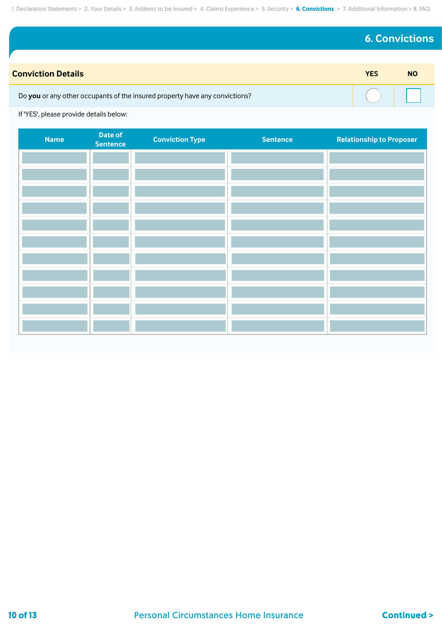## **6. Convictions**

| <b>Conviction Details</b>                                                   | YES | <b>NO</b> |
|-----------------------------------------------------------------------------|-----|-----------|
| Do you or any other occupants of the insured property have any convictions? |     |           |

If 'YES', please provide details below:

| <b>Name</b> | Date of<br><b>Sentence</b> | <b>Conviction Type</b> | <b>Sentence</b> | <b>Relationship to Proposer</b> |
|-------------|----------------------------|------------------------|-----------------|---------------------------------|
|             |                            |                        |                 |                                 |
|             |                            |                        |                 |                                 |
|             |                            |                        |                 |                                 |
|             |                            |                        |                 |                                 |
|             |                            |                        |                 |                                 |
|             |                            |                        |                 |                                 |
|             |                            |                        |                 |                                 |
|             |                            |                        |                 |                                 |
|             |                            |                        |                 |                                 |
|             |                            |                        |                 |                                 |
|             |                            |                        |                 |                                 |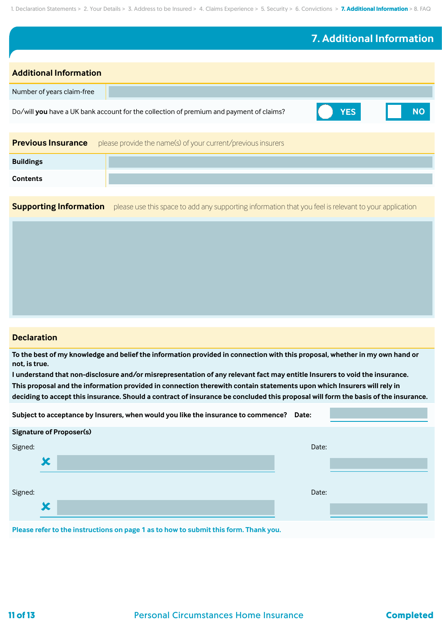|                               |                                                                                         | 7. Additional Information |           |
|-------------------------------|-----------------------------------------------------------------------------------------|---------------------------|-----------|
|                               |                                                                                         |                           |           |
| <b>Additional Information</b> |                                                                                         |                           |           |
| Number of years claim-free    |                                                                                         |                           |           |
|                               | Do/will you have a UK bank account for the collection of premium and payment of claims? | <b>YES</b>                | <b>NO</b> |
|                               |                                                                                         |                           |           |
| <b>Previous Insurance</b>     | please provide the name(s) of your current/previous insurers                            |                           |           |
| <b>Buildings</b>              |                                                                                         |                           |           |
| <b>Contents</b>               |                                                                                         |                           |           |
|                               |                                                                                         |                           |           |

**Supporting Information** please use this space to add any supporting information that you feel is relevant to your application

#### **Declaration**

**To the best of my knowledge and belief the information provided in connection with this proposal, whether in my own hand or not, is true.**

**I understand that non-disclosure and/or misrepresentation of any relevant fact may entitle Insurers to void the insurance. This proposal and the information provided in connection therewith contain statements upon which Insurers will rely in deciding to accept this insurance. Should a contract of insurance be concluded this proposal will form the basis of the insurance.**

|                                                                                     |   | Subject to acceptance by Insurers, when would you like the insurance to commence? Date: |       |  |  |  |  |
|-------------------------------------------------------------------------------------|---|-----------------------------------------------------------------------------------------|-------|--|--|--|--|
|                                                                                     |   | <b>Signature of Proposer(s)</b>                                                         |       |  |  |  |  |
| Signed:                                                                             |   |                                                                                         | Date: |  |  |  |  |
|                                                                                     | X |                                                                                         |       |  |  |  |  |
|                                                                                     |   |                                                                                         |       |  |  |  |  |
| Signed:                                                                             |   |                                                                                         | Date: |  |  |  |  |
|                                                                                     | X |                                                                                         |       |  |  |  |  |
| Plazes refer to the instructions on page 1 as to how to submit this form. Thank you |   |                                                                                         |       |  |  |  |  |

**Please refer to the instructions on page 1 as to how to submit this form. Thank you.**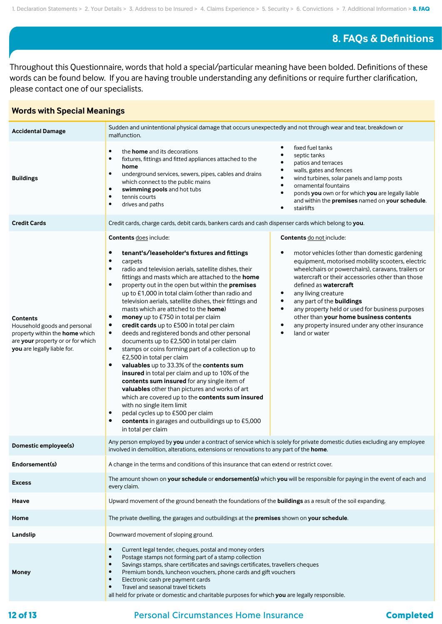### **8. FAQs & Definitions**

Throughout this Questionnaire, words that hold a special/particular meaning have been bolded. Definitions of these words can be found below. If you are having trouble understanding any definitions or require further clarification, please contact one of our specialists.

#### **Accidental Damage** Sudden and unintentional physical damage that occurs unexpectedly and not through wear and tear, breakdown or malfunction. **Buildings** • the **home** and its decorations • fixtures, fittings and fitted appliances attached to the **home** • underground services, sewers, pipes, cables and drains which connect to the public mains **• swimming pools** and hot tubs tennis courts • drives and paths fixed fuel tanks septic tanks • patios and terraces walls, gates and fences • wind turbines, solar panels and lamp posts • ornamental fountains • ponds **you** own or for which **you** are legally liable and within the **premises** named on **your schedule**. **stairlifts Credit Cards** Credit cards, charge cards, debit cards, bankers cards and cash dispenser cards which belong to **you**. **Contents** Household goods and personal property within the **home** which are **your** property or or for which **you** are legally liable for. **Contents** does include: **• tenant's/leaseholder's fixtures and fittings** • carpets • radio and television aerials, satellite dishes, their fittings and masts which are attached to the **home** • property out in the open but within the **premises**  up to £1,000 in total claim (other than radio and television aerials, satellite dishes, their fittings and masts which are attched to the **home**) **• money** up to £750 in total per claim **• credit cards** up to £500 in total per claim • deeds and registered bonds and other personal documents up to £2,500 in total per claim • stamps or coins forming part of a collection up to £2,500 in total per claim **• valuables** up to 33.3% of the **contents sum insured** in total per claim and up to 10% of the **contents sum insured** for any single item of **valuables** other than pictures and works of art which are covered up to the **contents sum insured** with no single item limit • pedal cycles up to £500 per claim **• contents** in garages and outbuildings up to £5,000 in total per claim **Contents** do not include: motor vehicles (other than domestic gardening equipment, motorised mobility scooters, electric wheelchairs or powerchairs), caravans, trailers or watercraft or their accessories other than those defined as **watercraft** any living creature • any part of the **buildings** • any property held or used for business purposes other than **your home business contents** any property insured under any other insurance land or water **Domestic employee(s)** Any person employed by **you** under a contract of service which is solely for private domestic duties excluding any employee involved in demolition, alterations, extensions or renovations to any part of the **home**. **Endorsement(s)** A change in the terms and conditions of this insurance that can extend or restrict cover. **Excess** The amount shown on **your schedule** or **endorsement(s)** which **you** will be responsible for paying in the event of each and every claim. **Heave** Upward movement of the ground beneath the foundations of the **buildings** as a result of the soil expanding. **Home** The private dwelling, the garages and outbuildings at the **premises** shown on **your schedule**. **Landslip Landslip Landslip Landslip Landslip Downward** movement of sloping ground. **Money** • Current legal tender, cheques, postal and money orders • Postage stamps not forming part of a stamp collection Savings stamps, share certificates and savings certificates, travellers cheques • Premium bonds, luncheon vouchers, phone cards and gift vouchers • Electronic cash pre payment cards • Travel and seasonal travel tickets all held for private or domestic and charitable purposes for which **you** are legally responsible.

## **Words with Special Meanings**

### **12 of 13 Completed Completed Completed**